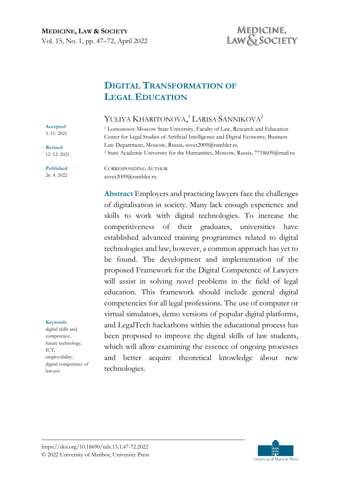# MEDICINE, LAW & SOCIETY

# **DIGITAL TRANSFORMATION OF LEGAL EDUCATION**

# YULIYA KHARITONOVA,<sup>1</sup> LARISA SANNIKOVA<sup>2</sup>

<sup>1</sup> Lomonosov Moscow State University, Faculty of Law, Research and Education Center for Legal Studies of Artificial Intelligence and Digital Economy, Business Law Department, Moscow, Russia, sovet2009@rambler.ru <sup>2</sup> State Academic University for the Humanities, Moscow, Russia, 7718609@mail.ru

CORRESPONDING AUTHOR sovet2009@rambler.ru

**Abstract** Employers and practicing lawyers face the challenges of digitalisation in society. Many lack enough experience and skills to work with digital technologies. To increase the competitiveness of their graduates, universities have established advanced training programmes related to digital technologies and law; however, a common approach has yet to be found. The development and implementation of the proposed Framework for the Digital Competence of Lawyers will assist in solving novel problems in the field of legal education. This framework should include general digital competencies for all legal professions. The use of computer or virtual simulators, demo versions of popular digital platforms, and LegalTech hackathons within the educational process has been proposed to improve the digital skills of law students, which will allow examining the essence of ongoing processes and better acquire theoretical knowledge about new technologies.



**Revised** 12. 12. 2021

**Published** 26. 4. 2022

#### **Keywords**

digital skills and competence, future technology, ICT, employability, digital competence of lawyers

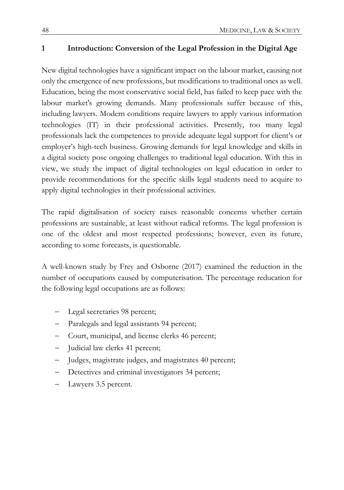## **1 Introduction: Conversion of the Legal Profession in the Digital Age**

New digital technologies have a significant impact on the labour market, causing not only the emergence of new professions, but modifications to traditional ones as well. Education, being the most conservative social field, has failed to keep pace with the labour market's growing demands. Many professionals suffer because of this, including lawyers. Modern conditions require lawyers to apply various information technologies (IT) in their professional activities. Presently, too many legal professionals lack the competences to provide adequate legal support for client's or employer's high-tech business. Growing demands for legal knowledge and skills in a digital society pose ongoing challenges to traditional legal education. With this in view, we study the impact of digital technologies on legal education in order to provide recommendations for the specific skills legal students need to acquire to apply digital technologies in their professional activities.

The rapid digitalisation of society raises reasonable concerns whether certain professions are sustainable, at least without radical reforms. The legal profession is one of the oldest and most respected professions; however, even its future, according to some forecasts, is questionable.

A well-known study by Frey and Osborne (2017) examined the reduction in the number of occupations caused by computerisation. The percentage reducation for the following legal occupations are as follows:

- Legal secretaries 98 percent;
- Paralegals and legal assistants 94 percent;
- − Court, municipal, and license clerks 46 percent;
- − Judicial law clerks 41 percent;
- Judges, magistrate judges, and magistrates 40 percent;
- Detectives and criminal investigators 34 percent;
- Lawyers 3.5 percent.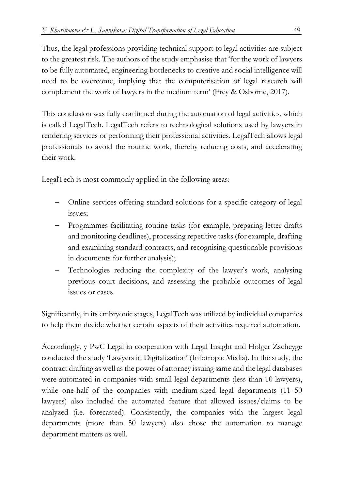Thus, the legal professions providing technical support to legal activities are subject to the greatest risk. The authors of the study emphasise that 'for the work of lawyers to be fully automated, engineering bottlenecks to creative and social intelligence will need to be overcome, implying that the computerisation of legal research will complement the work of lawyers in the medium term' (Frey & Osborne, 2017).

This conclusion was fully confirmed during the automation of legal activities, which is called LegalTech. LegalTech refers to technological solutions used by lawyers in rendering services or performing their professional activities. LegalTech allows legal professionals to avoid the routine work, thereby reducing costs, and accelerating their work.

LegalTech is most commonly applied in the following areas:

- − Online services offering standard solutions for a specific category of legal issues;
- Programmes facilitating routine tasks (for example, preparing letter drafts and monitoring deadlines), processing repetitive tasks (for example, drafting and examining standard contracts, and recognising questionable provisions in documents for further analysis);
- Technologies reducing the complexity of the lawyer's work, analysing previous court decisions, and assessing the probable outcomes of legal issues or cases.

Significantly, in its embryonic stages, LegalTech was utilized by individual companies to help them decide whether certain aspects of their activities required automation.

Accordingly, y PwC Legal in cooperation with Legal Insight and Holger Zscheyge conducted the study 'Lawyers in Digitalization' (Infotropic Media). In the study, the contract drafting as well as the power of attorney issuing same and the legal databases were automated in companies with small legal departments (less than 10 lawyers), while one-half of the companies with medium-sized legal departments (11–50) lawyers) also included the automated feature that allowed issues/claims to be analyzed (i.e. forecasted). Consistently, the companies with the largest legal departments (more than 50 lawyers) also chose the automation to manage department matters as well.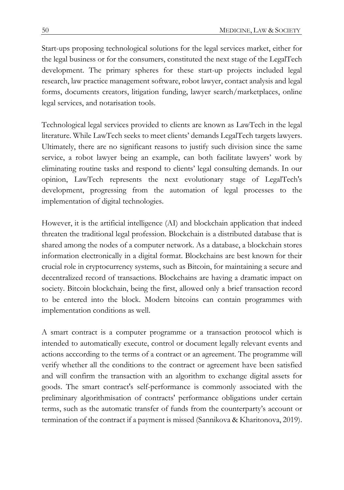Start-ups proposing technological solutions for the legal services market, either for the legal business or for the consumers, constituted the next stage of the LegalTech development. The primary spheres for these start-up projects included legal research, law practice management software, robot lawyer, contact analysis and legal forms, documents creators, litigation funding, lawyer search/marketplaces, online legal services, and notarisation tools.

Technological legal services provided to clients are known as LawTech in the legal literature. While LawTech seeks to meet clients' demands LegalTech targets lawyers. Ultimately, there are no significant reasons to justify such division since the same service, a robot lawyer being an example, can both facilitate lawyers' work by eliminating routine tasks and respond to clients' legal consulting demands. In our opinion, LawTech represents the next evolutionary stage of LegalTech's development, progressing from the automation of legal processes to the implementation of digital technologies.

However, it is the artificial intelligence (AI) and blockchain application that indeed threaten the traditional legal profession. Blockchain is a distributed database that is shared among the nodes of a computer network. As a database, a blockchain stores information electronically in a digital format. Blockchains are best known for their crucial role in cryptocurrency systems, such as Bitcoin, for maintaining a secure and decentralized record of transactions. Blockchains are having a dramatic impact on society. Bitcoin blockchain, being the first, allowed only a brief transaction record to be entered into the block. Modern bitcoins can contain programmes with implementation conditions as well.

A smart contract is a computer programme or a transaction protocol which is intended to automatically execute, control or document legally relevant events and actions acccording to the terms of a contract or an agreement. The programme will verify whether all the conditions to the contract or agreement have been satisfied and will confirm the transaction with an algorithm to exchange digital assets for goods. The smart contract's self-performance is commonly associated with the preliminary algorithmisation of contracts' performance obligations under certain terms, such as the automatic transfer of funds from the counterparty's account or termination of the contract if a payment is missed (Sannikova & Kharitonova, 2019).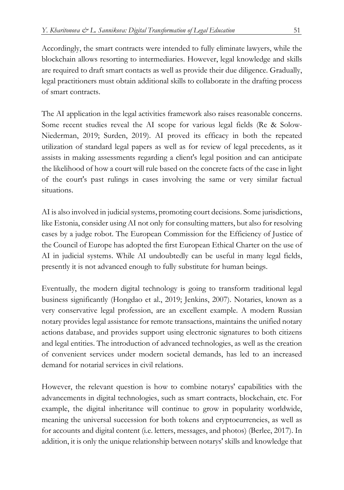Accordingly, the smart contracts were intended to fully eliminate lawyers, while the blockchain allows resorting to intermediaries. However, legal knowledge and skills are required to draft smart contacts as well as provide their due diligence. Gradually, legal practitioners must obtain additional skills to collaborate in the drafting process of smart contracts.

The AI application in the legal activities framework also raises reasonable concerns. Some recent studies reveal the AI scope for various legal fields (Re & Solow-Niederman, 2019; Surden, 2019). AI proved its efficacy in both the repeated utilization of standard legal papers as well as for review of legal precedents, as it assists in making assessments regarding a client's legal position and can anticipate the likelihood of how a court will rule based on the concrete facts of the case in light of the court's past rulings in cases involving the same or very similar factual situations.

AI is also involved in judicial systems, promoting court decisions. Some jurisdictions, like Estonia, consider using AI not only for consulting matters, but also for resolving cases by a judge robot. The European Commission for the Efficiency of Justice of the Council of Europe has adopted the first European Ethical Charter on the use of AI in judicial systems. While AI undoubtedly can be useful in many legal fields, presently it is not advanced enough to fully substitute for human beings.

Eventually, the modern digital technology is going to transform traditional legal business significantly (Hongdao et al., 2019; Jenkins, 2007). Notaries, known as a very conservative legal profession, are an excellent example. A modern Russian notary provides legal assistance for remote transactions, maintains the unified notary actions database, and provides support using electronic signatures to both citizens and legal entities. The introduction of advanced technologies, as well as the creation of convenient services under modern societal demands, has led to an increased demand for notarial services in civil relations.

However, the relevant question is how to combine notarys' capabilities with the advancements in digital technologies, such as smart contracts, blockchain, etc. For example, the digital inheritance will continue to grow in popularity worldwide, meaning the universal succession for both tokens and cryptocurrencies, as well as for accounts and digital content (i.e. letters, messages, and photos) (Berlee, 2017). In addition, it is only the unique relationship between notarys' skills and knowledge that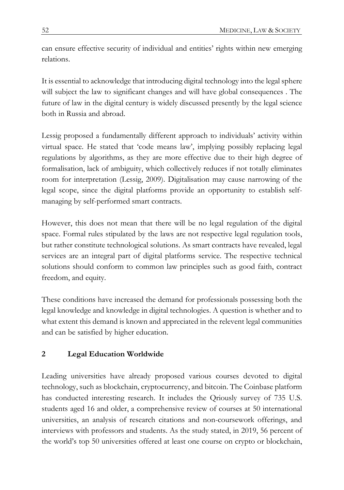can ensure effective security of individual and entities' rights within new emerging relations.

It is essential to acknowledge that introducing digital technology into the legal sphere will subject the law to significant changes and will have global consequences . The future of law in the digital century is widely discussed presently by the legal science both in Russia and abroad.

Lessig proposed a fundamentally different approach to individuals' activity within virtual space. He stated that 'code means law', implying possibly replacing legal regulations by algorithms, as they are more effective due to their high degree of formalisation, lack of ambiguity, which collectively reduces if not totally eliminates room for interpretation (Lessig, 2009). Digitalisation may cause narrowing of the legal scope, since the digital platforms provide an opportunity to establish selfmanaging by self-performed smart contracts.

However, this does not mean that there will be no legal regulation of the digital space. Formal rules stipulated by the laws are not respective legal regulation tools, but rather constitute technological solutions. As smart contracts have revealed, legal services are an integral part of digital platforms service. The respective technical solutions should conform to common law principles such as good faith, contract freedom, and equity.

These conditions have increased the demand for professionals possessing both the legal knowledge and knowledge in digital technologies. A question is whether and to what extent this demand is known and appreciated in the relevent legal communities and can be satisfied by higher education.

## **2 Legal Education Worldwide**

Leading universities have already proposed various courses devoted to digital technology, such as blockchain, cryptocurrency, and bitcoin. The Coinbase platform has conducted interesting research. It includes the Qriously survey of 735 U.S. students aged 16 and older, a comprehensive review of courses at 50 international universities, an analysis of research citations and non-coursework offerings, and interviews with professors and students. As the study stated, in 2019, 56 percent of the world's top 50 universities offered at least one course on crypto or blockchain,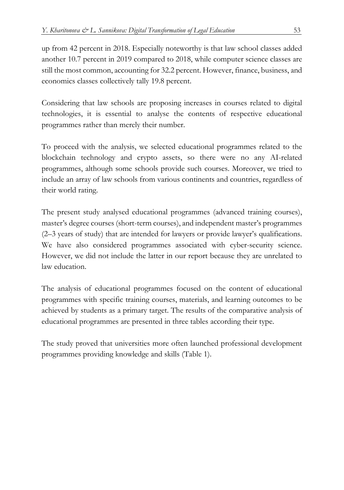up from 42 percent in 2018. Especially noteworthy is that law school classes added another 10.7 percent in 2019 compared to 2018, while computer science classes are still the most common, accounting for 32.2 percent. However, finance, business, and economics classes collectively tally 19.8 percent.

Considering that law schools are proposing increases in courses related to digital technologies, it is essential to analyse the contents of respective educational programmes rather than merely their number.

To proceed with the analysis, we selected educational programmes related to the blockchain technology and crypto assets, so there were no any AI-related programmes, although some schools provide such courses. Moreover, we tried to include an array of law schools from various continents and countries, regardless of their world rating.

The present study analysed educational programmes (advanced training courses), master's degree courses (short-term courses), and independent master's programmes (2–3 years of study) that are intended for lawyers or provide lawyer's qualifications. We have also considered programmes associated with cyber-security science. However, we did not include the latter in our report because they are unrelated to law education.

The analysis of educational programmes focused on the content of educational programmes with specific training courses, materials, and learning outcomes to be achieved by students as a primary target. The results of the comparative analysis of educational programmes are presented in three tables according their type.

The study proved that universities more often launched professional development programmes providing knowledge and skills (Table 1).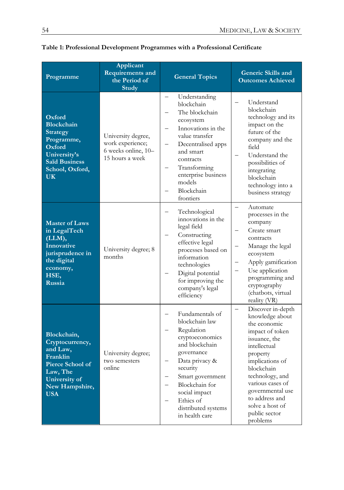| Programme                                                                                                                                    | Applicant<br><b>Requirements and</b><br>the Period of<br>Study                   | <b>General Topics</b>                                                                                                                                                                                                                                      | <b>Generic Skills and</b><br><b>Outcomes Achieved</b>                                                                                                                                                                                                                              |
|----------------------------------------------------------------------------------------------------------------------------------------------|----------------------------------------------------------------------------------|------------------------------------------------------------------------------------------------------------------------------------------------------------------------------------------------------------------------------------------------------------|------------------------------------------------------------------------------------------------------------------------------------------------------------------------------------------------------------------------------------------------------------------------------------|
| Oxford<br><b>Blockchain</b><br><b>Strategy</b><br>Programme,<br>Oxford<br>University's<br><b>Saïd Business</b><br>School, Oxford,<br>UK.     | University degree,<br>work experience;<br>6 weeks online, 10-<br>15 hours a week | Understanding<br>$\overline{\phantom{0}}$<br>blockchain<br>The blockchain<br>ecosystem<br>Innovations in the<br>value transfer<br>Decentralised apps<br>and smart<br>contracts<br>Transforming<br>enterprise business<br>models<br>Blockchain<br>frontiers | Understand<br>blockchain<br>technology and its<br>impact on the<br>future of the<br>company and the<br>field<br>Understand the<br>possibilities of<br>integrating<br>blockchain<br>technology into a<br>business strategy                                                          |
| <b>Master of Laws</b><br>in LegalTech<br>(LLM),<br><b>Innovative</b><br>jurisprudence in<br>the digital<br>economy,<br>HSE,<br><b>Russia</b> | University degree; 8<br>months                                                   | Technological<br>innovations in the<br>legal field<br>Constructing<br>effective legal<br>processes based on<br>information<br>technologies<br>Digital potential<br>for improving the<br>company's legal<br>efficiency                                      | Automate<br>processes in the<br>company<br>Create smart<br>contracts<br>Manage the legal<br>ecosystem<br>Apply gamification<br>Use application<br>programming and<br>cryptography<br>(chatbots, virtual<br>reality (VR)                                                            |
| Blockchain,<br>Cryptocurrency,<br>and Law,<br>Franklin<br>Pierce School of<br>Law, The<br>University of<br>New Hampshire,<br><b>USA</b>      | University degree;<br>two semesters<br>online                                    | Fundamentals of<br>blockchain law<br>Regulation<br>cryptoeconomics<br>and blockchain<br>governance<br>Data privacy &<br>security<br>Smart government<br>Blockchain for<br>social impact<br>Ethics of<br>distributed systems<br>in health care              | Discover in-depth<br>knowledge about<br>the economic<br>impact of token<br>issuance, the<br>intellectual<br>property<br>implications of<br>blockchain<br>technology, and<br>various cases of<br>governmental use<br>to address and<br>solve a host of<br>public sector<br>problems |

**Table 1: Professional Development Programmes with a Professional Certificate**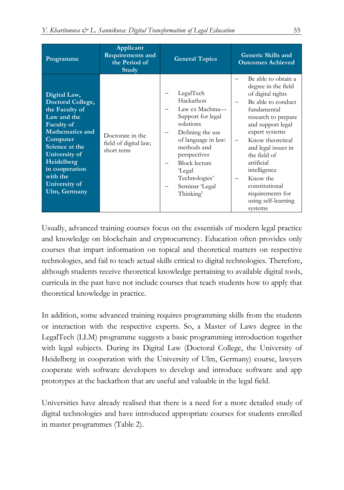| Programme                                                                                                                                                                                                                              | Applicant<br><b>Requirements and</b><br>the Period of<br>Study | <b>General Topics</b>                                                                                                                                                                                                          | Generic Skills and<br><b>Outcomes Achieved</b>                                                                                                                                                                                                                                                                                                  |
|----------------------------------------------------------------------------------------------------------------------------------------------------------------------------------------------------------------------------------------|----------------------------------------------------------------|--------------------------------------------------------------------------------------------------------------------------------------------------------------------------------------------------------------------------------|-------------------------------------------------------------------------------------------------------------------------------------------------------------------------------------------------------------------------------------------------------------------------------------------------------------------------------------------------|
| Digital Law,<br>Doctoral College,<br>the Faculty of<br>Law and the<br><b>Faculty of</b><br>Mathematics and<br>Computer<br>Science at the<br>University of<br>Heidelberg<br>in cooperation<br>with the<br>University of<br>Ulm, Germany | Doctorate in the<br>field of digital law;<br>short term        | LegalTech<br>Hackathon<br>Law ex Machina-<br>Support for legal<br>solutions<br>Defining the use<br>of language in law:<br>methods and<br>perspectives<br>Block lecture<br>Legal<br>Technologies'<br>Seminar Legal<br>Thinking' | Be able to obtain a<br>degree in the field<br>of digital rights<br>Be able to conduct<br>fundamental<br>research to prepare<br>and support legal<br>expert systems<br>Know theoretical<br>and legal issues in<br>the field of<br>artificial<br>intelligence<br>Know the<br>constitutional<br>requirements for<br>using self-learning<br>systems |

Usually, advanced training courses focus on the essentials of modern legal practice and knowledge on blockchain and cryptocurrency. Education often provides only courses that impart information on topical and theoretical matters on respective technologies, and fail to teach actual skills critical to digital technologies. Therefore, although students receive theoretical knowledge pertaining to available digital tools, curricula in the past have not include courses that teach students how to apply that theoretical knowledge in practice.

In addition, some advanced training requires programming skills from the students or interaction with the respective experts. So, a Master of Laws degree in the LegalTech (LLM) programme suggests a basic programming introduction together with legal subjects. During its Digital Law (Doctoral College, the University of Heidelberg in cooperation with the University of Ulm, Germany) course, lawyers cooperate with software developers to develop and introduce software and app prototypes at the hackathon that are useful and valuable in the legal field.

Universities have already realised that there is a need for a more detailed study of digital technologies and have introduced appropriate courses for students enrolled in master programmes (Table 2).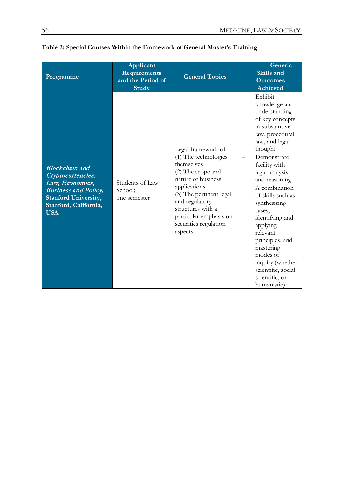| Programme                                                                                                                                                   | Applicant<br><b>Requirements</b><br>and the Period of<br>Study | <b>General Topics</b>                                                                                                                                                                                                                               | Generic<br>Skills and<br><b>Outcomes</b><br>Achieved                                                                                                                                                                                                                                                                                                                                                                                |
|-------------------------------------------------------------------------------------------------------------------------------------------------------------|----------------------------------------------------------------|-----------------------------------------------------------------------------------------------------------------------------------------------------------------------------------------------------------------------------------------------------|-------------------------------------------------------------------------------------------------------------------------------------------------------------------------------------------------------------------------------------------------------------------------------------------------------------------------------------------------------------------------------------------------------------------------------------|
| Blockchain and<br>Cryptocurrencies:<br>Law, Economics,<br><b>Business and Policy,</b><br><b>Stanford University,</b><br>Stanford, California,<br><b>USA</b> | Students of Law<br>School:<br>one semester                     | Legal framework of<br>(1) The technologies<br>themselves<br>(2) The scope and<br>nature of business<br>applications<br>(3) The pertinent legal<br>and regulatory<br>structures with a<br>particular emphasis on<br>securities regulation<br>aspects | Exhibit<br>knowledge and<br>understanding<br>of key concepts<br>in substantive<br>law, procedural<br>law, and legal<br>thought<br>Demonstrate<br>facility with<br>legal analysis<br>and reasoning<br>A combination<br>of skills such as<br>synthesising<br>cases,<br>identifying and<br>applying<br>relevant<br>principles, and<br>mastering<br>modes of<br>inquiry (whether<br>scientific, social<br>scientific, or<br>humanistic) |

## **Table 2: Special Courses Within the Framework of General Master's Training**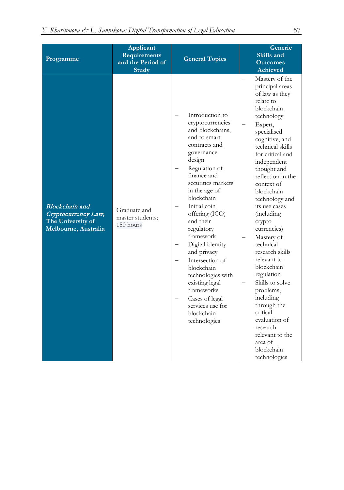| Programme                                                                                 | Applicant<br><b>Requirements</b><br>and the Period of<br>Study | <b>General Topics</b>                                                                                                                                                                                                                                                                                                                                                                                                                                                        | Generic<br>Skills and<br><b>Outcomes</b><br><b>Achieved</b>                                                                                                                                                                                                                                                                                                                                                                                                                                                                                                                                                |
|-------------------------------------------------------------------------------------------|----------------------------------------------------------------|------------------------------------------------------------------------------------------------------------------------------------------------------------------------------------------------------------------------------------------------------------------------------------------------------------------------------------------------------------------------------------------------------------------------------------------------------------------------------|------------------------------------------------------------------------------------------------------------------------------------------------------------------------------------------------------------------------------------------------------------------------------------------------------------------------------------------------------------------------------------------------------------------------------------------------------------------------------------------------------------------------------------------------------------------------------------------------------------|
| <b>Blockchain</b> and<br>Cryptocurrency Law,<br>The University of<br>Melbourne, Australia | Graduate and<br>master students;<br>150 hours                  | Introduction to<br>cryptocurrencies<br>and blockchains,<br>and to smart<br>contracts and<br>governance<br>design<br>Regulation of<br>finance and<br>securities markets<br>in the age of<br>blockchain<br>Initial coin<br>offering (ICO)<br>and their<br>regulatory<br>framework<br>Digital identity<br>and privacy<br>Intersection of<br>blockchain<br>technologies with<br>existing legal<br>frameworks<br>Cases of legal<br>services use for<br>blockchain<br>technologies | Mastery of the<br>principal areas<br>of law as they<br>relate to<br>blockchain<br>technology<br>Expert,<br>specialised<br>cognitive, and<br>technical skills<br>for critical and<br>independent<br>thought and<br>reflection in the<br>context of<br>blockchain<br>technology and<br>its use cases<br><i>(including</i><br>crypto<br>currencies)<br>Mastery of<br>technical<br>research skills<br>relevant to<br>blockchain<br>regulation<br>Skills to solve<br>problems,<br>including<br>through the<br>critical<br>evaluation of<br>research<br>relevant to the<br>area of<br>blockchain<br>technologies |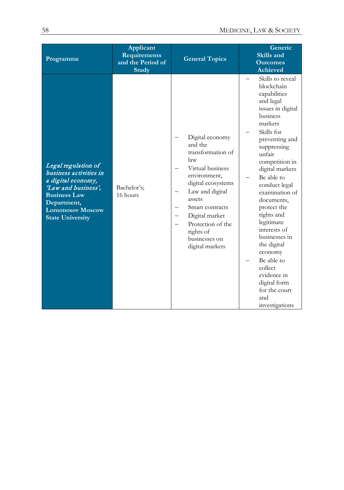| Programme                                                                                                                                                                             | Applicant<br><b>Requirements</b><br>and the Period of<br><b>Study</b> | <b>General Topics</b>                                                                                                                                                                                                                                    | Generic<br>Skills and<br><b>Outcomes</b><br><b>Achieved</b>                                                                                                                                                                                                                                                                                                                                                                                                                  |
|---------------------------------------------------------------------------------------------------------------------------------------------------------------------------------------|-----------------------------------------------------------------------|----------------------------------------------------------------------------------------------------------------------------------------------------------------------------------------------------------------------------------------------------------|------------------------------------------------------------------------------------------------------------------------------------------------------------------------------------------------------------------------------------------------------------------------------------------------------------------------------------------------------------------------------------------------------------------------------------------------------------------------------|
| Legal regulation of<br>business activities in<br>a digital economy,<br>Law and business',<br><b>Business Law</b><br>Department,<br><b>Lomonosov Moscow</b><br><b>State University</b> | Bachelor's;<br>16 hours                                               | Digital economy<br>and the<br>transformation of<br>law<br>Virtual business<br>environment,<br>digital ecosystems<br>Law and digital<br>assets<br>Smart contracts<br>Digital market<br>Protection of the<br>rights of<br>businesses on<br>digital markets | Skills to reveal<br>blockchain<br>capabilities<br>and legal<br>issues in digital<br>business<br>markets<br>Skills for<br>preventing and<br>suppressing<br>unfair<br>competition in<br>digital markets<br>Be able to<br>conduct legal<br>examination of<br>documents,<br>protect the<br>rights and<br>legitimate<br>interests of<br>businesses in<br>the digital<br>economy<br>Be able to<br>collect<br>evidence in<br>digital form<br>for the court<br>and<br>investigations |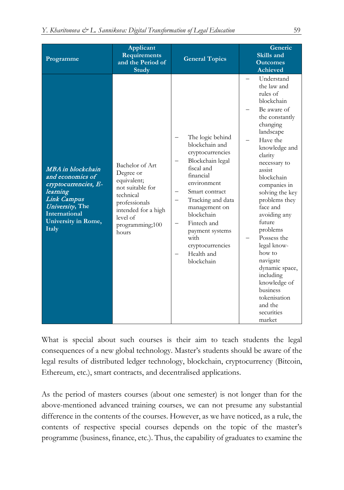| Programme                                                                                                                                                           | Applicant<br><b>Requirements</b><br>and the Period of<br><b>Study</b>                                                                                        | <b>General Topics</b>                                                                                                                                                                                                                                                                | Generic<br>Skills and<br><b>Outcomes</b><br><b>Achieved</b>                                                                                                                                                                                                                                                                                                                                                                                                           |
|---------------------------------------------------------------------------------------------------------------------------------------------------------------------|--------------------------------------------------------------------------------------------------------------------------------------------------------------|--------------------------------------------------------------------------------------------------------------------------------------------------------------------------------------------------------------------------------------------------------------------------------------|-----------------------------------------------------------------------------------------------------------------------------------------------------------------------------------------------------------------------------------------------------------------------------------------------------------------------------------------------------------------------------------------------------------------------------------------------------------------------|
| MBA in blockchain<br>and economics of<br>cryptocurrencies, E-<br>learning<br>Link Campus<br>University, The<br><b>International</b><br>University in Rome,<br>Italy | Bachelor of Art<br>Degree or<br>equivalent;<br>not suitable for<br>technical<br>professionals<br>intended for a high<br>level of<br>programming;100<br>hours | The logic behind<br>blockchain and<br>cryptocurrencies<br>Blockchain legal<br>fiscal and<br>financial<br>environment<br>Smart contract<br>Tracking and data<br>management on<br>blockchain<br>Fintech and<br>payment systems<br>with<br>cryptocurrencies<br>Health and<br>blockchain | Understand<br>the law and<br>rules of<br>blockchain<br>Be aware of<br>the constantly<br>changing<br>landscape<br>Have the<br>knowledge and<br>clarity<br>necessary to<br>assist<br>blockchain<br>companies in<br>solving the key<br>problems they<br>face and<br>avoiding any<br>future<br>problems<br>Possess the<br>legal know-<br>how to<br>navigate<br>dynamic space,<br>including<br>knowledge of<br>business<br>tokenisation<br>and the<br>securities<br>market |

What is special about such courses is their aim to teach students the legal consequences of a new global technology. Master's students should be aware of the legal results of distributed ledger technology, blockchain, cryptocurrency (Bitcoin, Ethereum, etc.), smart contracts, and decentralised applications.

As the period of masters courses (about one semester) is not longer than for the above-mentioned advanced training courses, we can not presume any substantial difference in the contents of the courses. However, as we have noticed, as a rule, the contents of respective special courses depends on the topic of the master's programme (business, finance, etc.). Thus, the capability of graduates to examine the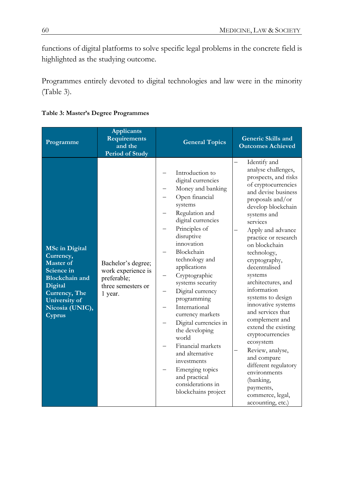functions of digital platforms to solve specific legal problems in the concrete field is highlighted as the studying outcome.

Programmes entirely devoted to digital technologies and law were in the minority (Table 3).

| Programme                                                                                                                                                               | <b>Applicants</b><br>Requirements<br>and the<br><b>Period of Study</b>                   | <b>General Topics</b>                                                                                                                                                                                                                                                                                                                                                                                                                                                                                                                     | Generic Skills and<br><b>Outcomes Achieved</b>                                                                                                                                                                                                                                                                                                                                                                                                                                                                                                                                                                                        |
|-------------------------------------------------------------------------------------------------------------------------------------------------------------------------|------------------------------------------------------------------------------------------|-------------------------------------------------------------------------------------------------------------------------------------------------------------------------------------------------------------------------------------------------------------------------------------------------------------------------------------------------------------------------------------------------------------------------------------------------------------------------------------------------------------------------------------------|---------------------------------------------------------------------------------------------------------------------------------------------------------------------------------------------------------------------------------------------------------------------------------------------------------------------------------------------------------------------------------------------------------------------------------------------------------------------------------------------------------------------------------------------------------------------------------------------------------------------------------------|
| <b>MSc in Digital</b><br>Currency,<br><b>Master of</b><br>Science in<br><b>Blockchain</b> and<br>Digital<br>Currency, The<br>University of<br>Nicosia (UNIC),<br>Cyprus | Bachelor's degree;<br>work experience is<br>preferable;<br>three semesters or<br>1 year. | Introduction to<br>digital currencies<br>Money and banking<br>Open financial<br>systems<br>Regulation and<br>digital currencies<br>Principles of<br>disruptive<br>innovation<br>Blockchain<br>technology and<br>applications<br>Cryptographic<br>systems security<br>Digital currency<br>—<br>programming<br>International<br>currency markets<br>Digital currencies in<br>the developing<br>world<br>Financial markets<br>and alternative<br>investments<br>Emerging topics<br>and practical<br>considerations in<br>blockchains project | Identify and<br>analyse challenges,<br>prospects, and risks<br>of cryptocurrencies<br>and devise business<br>proposals and/or<br>develop blockchain<br>systems and<br>services<br>Apply and advance<br>practice or research<br>on blockchain<br>technology,<br>cryptography,<br>decentralised<br>systems<br>architectures, and<br>information<br>systems to design<br>innovative systems<br>and services that<br>complement and<br>extend the existing<br>cryptocurrencies<br>ecosystem<br>Review, analyse,<br>and compare<br>different regulatory<br>environments<br>(banking,<br>payments,<br>commerce, legal,<br>accounting, etc.) |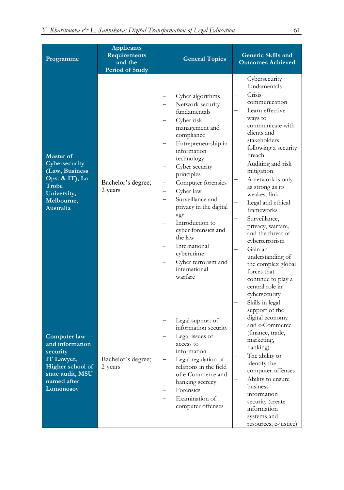| Programme                                                                                                                     | <b>Applicants</b><br>Requirements<br>and the<br><b>Period of Study</b> | <b>General Topics</b>                                                                                                                                                                                                                                                                                                                                                                                                      | <b>Generic Skills and</b><br><b>Outcomes Achieved</b>                                                                                                                                                                                                                                                                                                                                                                                                                                                                  |
|-------------------------------------------------------------------------------------------------------------------------------|------------------------------------------------------------------------|----------------------------------------------------------------------------------------------------------------------------------------------------------------------------------------------------------------------------------------------------------------------------------------------------------------------------------------------------------------------------------------------------------------------------|------------------------------------------------------------------------------------------------------------------------------------------------------------------------------------------------------------------------------------------------------------------------------------------------------------------------------------------------------------------------------------------------------------------------------------------------------------------------------------------------------------------------|
| <b>Master of</b><br>Cybersecurity<br>(Law, Business<br>Ops. & IT), La<br>Trobe<br>University,<br>Melbourne,<br>Australia      | Bachelor's degree;<br>2 years                                          | Cyber algorithms<br>Network security<br>fundamentals<br>Cyber risk<br>management and<br>compliance<br>Entrepreneurship in<br>information<br>technology<br>Cyber security<br>principles<br>Computer forensics<br>Cyber law<br>—<br>Surveillance and<br>privacy in the digital<br>age<br>Introduction to<br>cyber forensics and<br>the law<br>International<br>cybercrime<br>Cyber terrorism and<br>international<br>warfare | Cybersecurity<br>fundamentals<br>Crisis<br>communication<br>Learn effective<br>ways to<br>communicate with<br>clients and<br>stakeholders<br>following a security<br>breach.<br>Auditing and risk<br>mitigation<br>A network is only<br>as strong as its<br>weakest link<br>Legal and ethical<br>frameworks<br>Surveillance,<br>privacy, warfare,<br>and the threat of<br>cyberterrorism<br>Gain an<br>understanding of<br>the complex global<br>forces that<br>continue to play a<br>central role in<br>cybersecurity |
| Computer law<br>and information<br>security<br>IT Lawyer,<br>Higher school of<br>state audit, MSU<br>named after<br>Lomonosov | Bachelor's degree;<br>2 years                                          | Legal support of<br>information security<br>Legal issues of<br>access to<br>information<br>Legal regulation of<br>relations in the field<br>of e-Commerce and<br>banking secrecy<br>Forensics<br>Examination of<br>computer offenses                                                                                                                                                                                       | Skills in legal<br>support of the<br>digital economy<br>and e-Commerce<br>(finance, trade,<br>marketing,<br>banking)<br>The ability to<br>identify the<br>computer offenses<br>Ability to ensure<br>business<br>information<br>security (create<br>information<br>systems and<br>resources, e-justice)                                                                                                                                                                                                                 |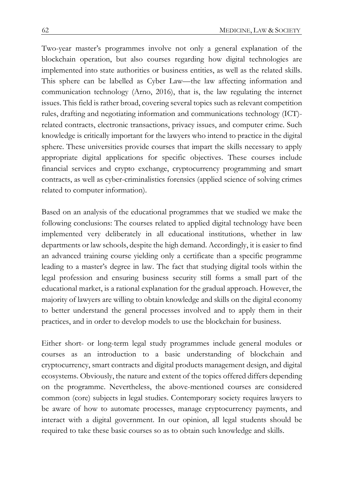Two-year master's programmes involve not only a general explanation of the blockchain operation, but also courses regarding how digital technologies are implemented into state authorities or business entities, as well as the related skills. This sphere can be labelled as Cyber Law—the law affecting information and communication technology (Arno, 2016), that is, the law regulating the internet issues. This field is rather broad, covering several topics such as relevant competition rules, drafting and negotiating information and communications technology (ICT) related contracts, electronic transactions, privacy issues, and computer crime. Such knowledge is critically important for the lawyers who intend to practice in the digital sphere. These universities provide courses that impart the skills necessary to apply appropriate digital applications for specific objectives. These courses include financial services and crypto exchange, cryptocurrency programming and smart contracts, as well as cyber-criminalistics forensics (applied science of solving crimes related to computer information).

Based on an analysis of the educational programmes that we studied we make the following conclusions: The courses related to applied digital technology have been implemented very deliberately in all educational institutions, whether in law departments or law schools, despite the high demand. Accordingly, it is easier to find an advanced training course yielding only a certificate than a specific programme leading to a master's degree in law. The fact that studying digital tools within the legal profession and ensuring business security still forms a small part of the educational market, is a rational explanation for the gradual approach. However, the majority of lawyers are willing to obtain knowledge and skills on the digital economy to better understand the general processes involved and to apply them in their practices, and in order to develop models to use the blockchain for business.

Either short- or long-term legal study programmes include general modules or courses as an introduction to a basic understanding of blockchain and cryptocurrency, smart contracts and digital products management design, and digital ecosystems. Obviously, the nature and extent of the topics offered differs depending on the programme. Nevertheless, the above-mentioned courses are considered common (core) subjects in legal studies. Contemporary society requires lawyers to be aware of how to automate processes, manage cryptocurrency payments, and interact with a digital government. In our opinion, all legal students should be required to take these basic courses so as to obtain such knowledge and skills.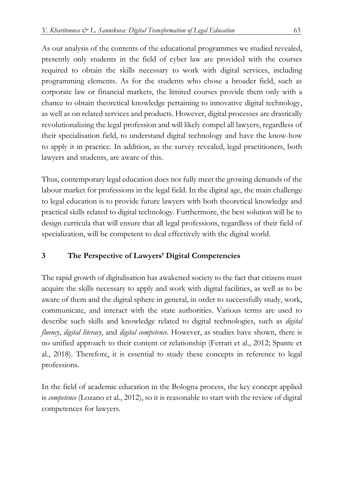As our analysis of the contents of the educational programmes we studied revealed, presently only students in the field of cyber law are provided with the courses required to obtain the skills necessary to work with digital services, including programming elements. As for the students who chose a broader field, such as corporate law or financial markets, the limited courses provide them only with a chance to obtain theoretical knowledge pertaining to innovative digital technology, as well as on related services and products. However, digital processes are drastically revolutionalizing the legal profession and will likely compel all lawyers, regardless of their specialisation field, to understand digital technology and have the know-how to apply it in practice. In addition, as the survey revealed, legal practitioners, both lawyers and students, are aware of this.

Thus, contemporary legal education does not fully meet the growing demands of the labour market for professions in the legal field. In the digital age, the main challenge to legal education is to provide future lawyers with both theoretical knowledge and practical skills related to digital technology. Furthermore, the best solution will be to design curricula that will ensure that all legal professions, regardless of their field of specialization, will be competent to deal effectively with the digital world.

## **3 The Perspective of Lawyers' Digital Competencies**

The rapid growth of digitalisation has awakened society to the fact that citizens must acquire the skills necessary to apply and work with digital facilities, as well as to be aware of them and the digital sphere in general, in order to successfully study, work, communicate, and interact with the state authorities. Various terms are used to describe such skills and knowledge related to digital technologies, such as *digital fluency*, *digital literacy*, and *digital competence*. However, as studies have shown, there is no unified approach to their content or relationship (Ferrari et al., 2012; Spante et al., 2018). Therefore, it is essential to study these concepts in reference to legal professions.

In the field of academic education in the Bologna process, the key concept applied is *competence* (Lozano et al., 2012), so it is reasonable to start with the review of digital competences for lawyers.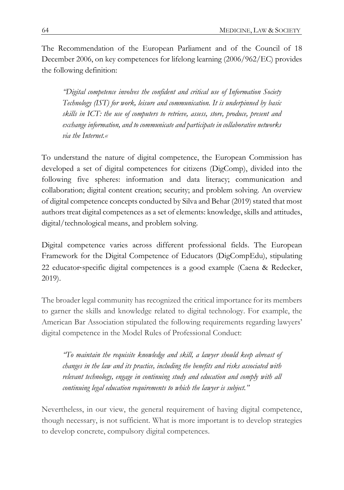The Recommendation of the European Parliament and of the Council of 18 December 2006, on key competences for lifelong learning (2006/962/EC) provides the following definition:

*"Digital competence involves the confident and critical use of Information Society Technology (IST) for work, leisure and communication. It is underpinned by basic skills in ICT: the use of computers to retrieve, assess, store, produce, present and exchange information, and to communicate and participate in collaborative networks via the Internet.«*

To understand the nature of digital competence, the European Commission has developed a set of digital competences for citizens (DigComp), divided into the following five spheres: information and data literacy; communication and collaboration; digital content creation; security; and problem solving. An overview of digital competence concepts conducted by Silva and Behar (2019) stated that most authors treat digital competences as a set of elements: knowledge, skills and attitudes, digital/technological means, and problem solving.

Digital competence varies across different professional fields. The European Framework for the Digital Competence of Educators (DigCompEdu), stipulating 22 educator-specific digital competences is a good example (Caena & Redecker, 2019).

The broader legal community has recognized the critical importance for its members to garner the skills and knowledge related to digital technology. For example, the American Bar Association stipulated the following requirements regarding lawyers' digital competence in the Model Rules of Professional Conduct:

*"To maintain the requisite knowledge and skill, a lawyer should keep abreast of changes in the law and its practice, including the benefits and risks associated with relevant technology, engage in continuing study and education and comply with all continuing legal education requirements to which the lawyer is subject."*

Nevertheless, in our view, the general requirement of having digital competence, though necessary, is not sufficient. What is more important is to develop strategies to develop concrete, compulsory digital competences.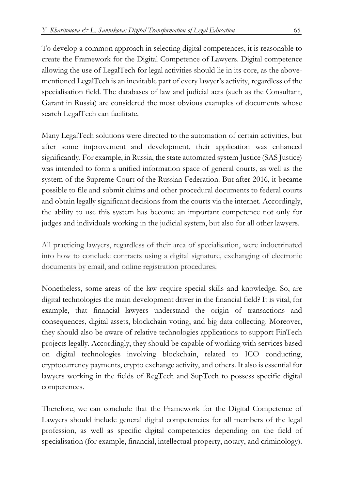To develop a common approach in selecting digital competences, it is reasonable to create the Framework for the Digital Competence of Lawyers. Digital competence allowing the use of LegalTech for legal activities should lie in its core, as the abovementioned LegalTech is an inevitable part of every lawyer's activity, regardless of the specialisation field. The databases of law and judicial acts (such as the Consultant, Garant in Russia) are considered the most obvious examples of documents whose search LegalTech can facilitate.

Many LegalTech solutions were directed to the automation of certain activities, but after some improvement and development, their application was enhanced significantly. For example, in Russia, the state automated system Justice (SAS Justice) was intended to form a unified information space of general courts, as well as the system of the Supreme Court of the Russian Federation. But after 2016, it became possible to file and submit claims and other procedural documents to federal courts and obtain legally significant decisions from the courts via the internet. Accordingly, the ability to use this system has become an important competence not only for judges and individuals working in the judicial system, but also for all other lawyers.

All practicing lawyers, regardless of their area of specialisation, were indoctrinated into how to conclude contracts using a digital signature, exchanging of electronic documents by email, and online registration procedures.

Nonetheless, some areas of the law require special skills and knowledge. So, are digital technologies the main development driver in the financial field? It is vital, for example, that financial lawyers understand the origin of transactions and consequences, digital assets, blockchain voting, and big data collecting. Moreover, they should also be aware of relative technologies applications to support FinTech projects legally. Accordingly, they should be capable of working with services based on digital technologies involving blockchain, related to ICO conducting, cryptocurrency payments, crypto exchange activity, and others. It also is essential for lawyers working in the fields of RegTech and SupTech to possess specific digital competences.

Therefore, we can conclude that the Framework for the Digital Competence of Lawyers should include general digital competencies for all members of the legal profession, as well as specific digital competencies depending on the field of specialisation (for example, financial, intellectual property, notary, and criminology).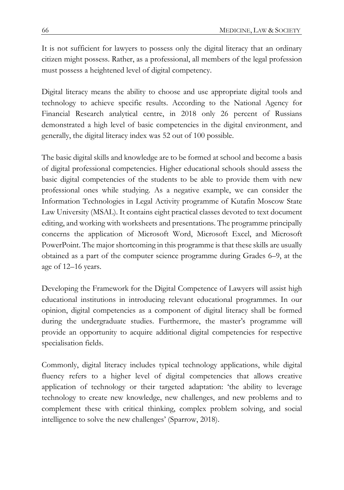It is not sufficient for lawyers to possess only the digital literacy that an ordinary citizen might possess. Rather, as a professional, all members of the legal profession must possess a heightened level of digital competency.

Digital literacy means the ability to choose and use appropriate digital tools and technology to achieve specific results. According to the National Agency for Financial Research analytical centre, in 2018 only 26 percent of Russians demonstrated a high level of basic competencies in the digital environment, and generally, the digital literacy index was 52 out of 100 possible.

The basic digital skills and knowledge are to be formed at school and become a basis of digital professional competencies. Higher educational schools should assess the basic digital competencies of the students to be able to provide them with new professional ones while studying. As a negative example, we can consider the Information Technologies in Legal Activity programme of Kutafin Moscow State Law University (MSAL). It contains eight practical classes devoted to text document editing, and working with worksheets and presentations. The programme principally concerns the application of Microsoft Word, Microsoft Excel, and Microsoft PowerPoint. The major shortcoming in this programme is that these skills are usually obtained as a part of the computer science programme during Grades 6–9, at the age of 12–16 years.

Developing the Framework for the Digital Competence of Lawyers will assist high educational institutions in introducing relevant educational programmes. In our opinion, digital competencies as a component of digital literacy shall be formed during the undergraduate studies. Furthermore, the master's programme will provide an opportunity to acquire additional digital competencies for respective specialisation fields.

Commonly, digital literacy includes typical technology applications, while digital fluency refers to a higher level of digital competencies that allows creative application of technology or their targeted adaptation: 'the ability to leverage technology to create new knowledge, new challenges, and new problems and to complement these with critical thinking, complex problem solving, and social intelligence to solve the new challenges' (Sparrow, 2018).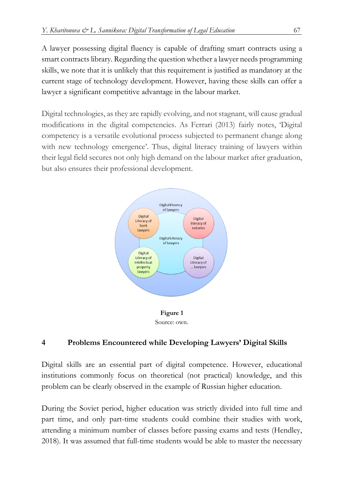A lawyer possessing digital fluency is capable of drafting smart contracts using a smart contracts library. Regarding the question whether a lawyer needs programming skills, we note that it is unlikely that this requirement is justified as mandatory at the current stage of technology development. However, having these skills can offer a lawyer a significant competitive advantage in the labour market.

Digital technologies, as they are rapidly evolving, and not stagnant, will cause gradual modifications in the digital competencies. As Ferrari (2013) fairly notes, 'Digital competency is a versatile evolutional process subjected to permanent change along with new technology emergence'. Thus, digital literacy training of lawyers within their legal field secures not only high demand on the labour market after graduation, but also ensures their professional development.





## **4 Problems Encountered while Developing Lawyers' Digital Skills**

Digital skills are an essential part of digital competence. However, educational institutions commonly focus on theoretical (not practical) knowledge, and this problem can be clearly observed in the example of Russian higher education.

During the Soviet period, higher education was strictly divided into full time and part time, and only part-time students could combine their studies with work, attending a minimum number of classes before passing exams and tests (Hendley, 2018). It was assumed that full-time students would be able to master the necessary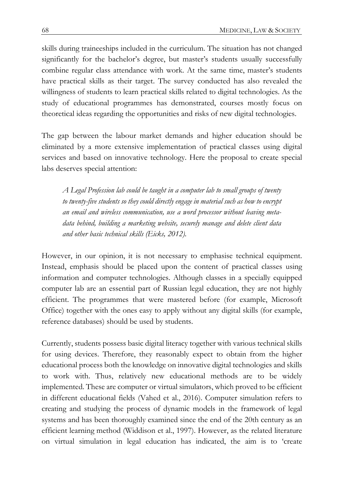skills during traineeships included in the curriculum. The situation has not changed significantly for the bachelor's degree, but master's students usually successfully combine regular class attendance with work. At the same time, master's students have practical skills as their target. The survey conducted has also revealed the willingness of students to learn practical skills related to digital technologies. As the study of educational programmes has demonstrated, courses mostly focus on theoretical ideas regarding the opportunities and risks of new digital technologies.

The gap between the labour market demands and higher education should be eliminated by a more extensive implementation of practical classes using digital services and based on innovative technology. Here the proposal to create special labs deserves special attention:

*A Legal Profession lab could be taught in a computer lab to small groups of twenty to twenty-five students so they could directly engage in material such as how to encrypt an email and wireless communication, use a word processor without leaving metadata behind, building a marketing website, securely manage and delete client data and other basic technical skills (Eicks, 2012).*

However, in our opinion, it is not necessary to emphasise technical equipment. Instead, emphasis should be placed upon the content of practical classes using information and computer technologies. Although classes in a specially equipped computer lab are an essential part of Russian legal education, they are not highly efficient. The programmes that were mastered before (for example, Microsoft Office) together with the ones easy to apply without any digital skills (for example, reference databases) should be used by students.

Currently, students possess basic digital literacy together with various technical skills for using devices. Therefore, they reasonably expect to obtain from the higher educational process both the knowledge on innovative digital technologies and skills to work with. Thus, relatively new educational methods are to be widely implemented. These are computer or virtual simulators, which proved to be efficient in different educational fields (Vahed et al., 2016). Computer simulation refers to creating and studying the process of dynamic models in the framework of legal systems and has been thoroughly examined since the end of the 20th century as an efficient learning method (Widdison et al., 1997). However, as the related literature on virtual simulation in legal education has indicated, the aim is to 'create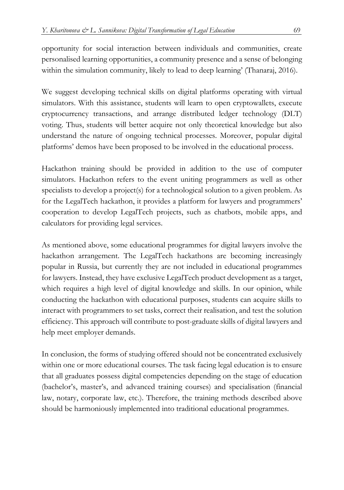opportunity for social interaction between individuals and communities, create personalised learning opportunities, a community presence and a sense of belonging within the simulation community, likely to lead to deep learning' (Thanaraj, 2016).

We suggest developing technical skills on digital platforms operating with virtual simulators. With this assistance, students will learn to open cryptowallets, execute cryptocurrency transactions, and arrange distributed ledger technology (DLT) voting. Thus, students will better acquire not only theoretical knowledge but also understand the nature of ongoing technical processes. Moreover, popular digital platforms' demos have been proposed to be involved in the educational process.

Hackathon training should be provided in addition to the use of computer simulators. Hackathon refers to the event uniting programmers as well as other specialists to develop a project(s) for a technological solution to a given problem. As for the LegalTech hackathon, it provides a platform for lawyers and programmers' cooperation to develop LegalTech projects, such as chatbots, mobile apps, and calculators for providing legal services.

As mentioned above, some educational programmes for digital lawyers involve the hackathon arrangement. The LegalTech hackathons are becoming increasingly popular in Russia, but currently they are not included in educational programmes for lawyers. Instead, they have exclusive LegalTech product development as a target, which requires a high level of digital knowledge and skills. In our opinion, while conducting the hackathon with educational purposes, students can acquire skills to interact with programmers to set tasks, correct their realisation, and test the solution efficiency. This approach will contribute to post-graduate skills of digital lawyers and help meet employer demands.

In conclusion, the forms of studying offered should not be concentrated exclusively within one or more educational courses. The task facing legal education is to ensure that all graduates possess digital competencies depending on the stage of education (bachelor's, master's, and advanced training courses) and specialisation (financial law, notary, corporate law, etc.). Therefore, the training methods described above should be harmoniously implemented into traditional educational programmes.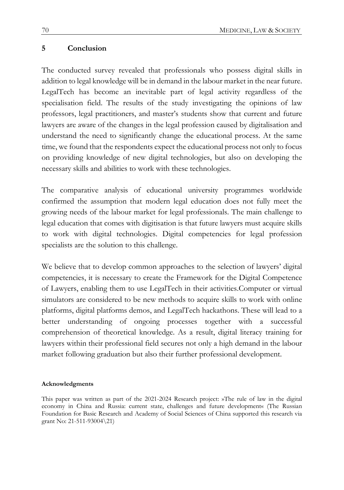#### **5 Conclusion**

The conducted survey revealed that professionals who possess digital skills in addition to legal knowledge will be in demand in the labour market in the near future. LegalTech has become an inevitable part of legal activity regardless of the specialisation field. The results of the study investigating the opinions of law professors, legal practitioners, and master's students show that current and future lawyers are aware of the changes in the legal profession caused by digitalisation and understand the need to significantly change the educational process. At the same time, we found that the respondents expect the educational process not only to focus on providing knowledge of new digital technologies, but also on developing the necessary skills and abilities to work with these technologies.

The comparative analysis of educational university programmes worldwide confirmed the assumption that modern legal education does not fully meet the growing needs of the labour market for legal professionals. The main challenge to legal education that comes with digitisation is that future lawyers must acquire skills to work with digital technologies. Digital competencies for legal profession specialists are the solution to this challenge.

We believe that to develop common approaches to the selection of lawyers' digital competencies, it is necessary to create the Framework for the Digital Competence of Lawyers, enabling them to use LegalTech in their activities.Computer or virtual simulators are considered to be new methods to acquire skills to work with online platforms, digital platforms demos, and LegalTech hackathons. These will lead to a better understanding of ongoing processes together with a successful comprehension of theoretical knowledge. As a result, digital literacy training for lawyers within their professional field secures not only a high demand in the labour market following graduation but also their further professional development.

#### **Acknowledgments**

This paper was written as part of the 2021-2024 Research project: »The rule of law in the digital economy in China and Russia: current state, challenges and future development« (The Russian Foundation for Basic Research and Academy of Social Sciences of China supported this research via grant No: 21-511-93004\21)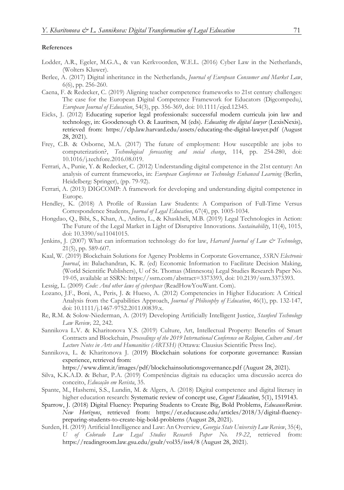#### **References**

- Lodder, A.R., Egeler, M.G.A., & van Kerkvoorden, W.E.L. (2016) Cyber Law in the Netherlands, (Wolters Kluwer).
- Berlee, A. (2017) Digital inheritance in the Netherlands, *Journal of European Consumer and Market Law*, 6(6), pp. 256-260.
- Caena, F. & Redecker, C. (2019) Aligning teacher competence frameworks to 21st century challenges: The case for the European Digital Competence Framework for Educators (Digcompedu*)*, *European Journal of Education*, 54(3), pp. 356-369, doi: 10.1111/ejed.12345.
- Eicks, J. (2012) Educating superior legal professionals: successful modern curricula join law and technology, in: Goodenough O. & Lauritsen, M (eds). *Educating the digital lawyer* (LexisNexis)*,*  retrieved from: [https://clp.law.harvard.edu/assets/educating](about:blank)-the-digital-lawyer.pdf (August 28, 2021).
- Frey, C.B. & Osborne, M.A. (2017) The future of employment: How susceptible are jobs to computerization?, *Technological forecasting and social change*, 114, pp. 254-280, doi: 10.1016/j.techfore.2016.08.019.
- Ferrari, A., Punie, Y. & Redecker, C. (2012) Understanding digital competence in the 21st century: An analysis of current frameworks, in: *European Conference on Technology Enhanced Learning* (Berlin, Heidelberg: Springer), (pp. 79-92).
- Ferrari, A. (2013) DIGCOMP: A framework for developing and understanding digital competence in Europe.
- Hendley, K. (2018) A Profile of Russian Law Students: A Comparison of Full-Time Versus Correspondence Students, *Journal of Legal Education*, 67(4), pp. 1005-1034.
- Hongdao, Q., Bibi, S., Khan, A., Ardito, L., & Khaskheli, M.B. (2019) Legal Technologies in Action: The Future of the Legal Market in Light of Disruptive Innovations. *Sustainability*, 11(4), 1015, doi: 10.3390/su11041015.
- Jenkins, J. (2007) What can information technology do for law, *Harvard Journal of Law & Technology*, 21(5), pp. 589-607.
- Kaal, W. (2019) Blockchain Solutions for Agency Problems in Corporate Governance, *SSRN Electronic Journal*, in: Balachandran, K. R. (ed) Economic Information to Facilitate Decision Making, (World Scientific Publishers), U of St. Thomas (Minnesota) Legal Studies Research Paper No. 19-05, available at SSRN: https://ssrn.com/abstract=3373393, doi: 10.2139/ssrn.3373393.
- Lessig, L. (2009) *Code: And other laws of cyberspace* (ReadHowYouWant. Com).
- Lozano, J.F., Boni, A., Peris, J. & Hueso, A. (2012) Competencies in Higher Education: A Critical Analysis from the Capabilities Approach, *Journal of Philosophy of Education*, 46(1), pp. 132-147, doi: 10.1111/j.1467-9752.2011.00839.x.
- Re, R.M. & Solow-Niederman, A. (2019) Developing Artificially Intelligent Justice, *Stanford Technology Law Review,* 22, 242.
- Sannikova L.V. & Kharitonova Y.S. (2019) Culture, Art, Intellectual Property: Benefits of Smart Contracts and Blockchain, *Proceedings of the 2019 International Conference on Religion, Culture and Art Lecture Notes in Arts and Humanities (ARTSH)* (Ottawa: Clausius Scientific Press Inc).
- Sannikova, L. & Kharitonova J. (2019) Blockchain solutions for corporate governance: Russian experience, retrieved from:

[https://www.dimt.it/images/pdf/blockchainsolutionsgovernance.pdf](about:blank) (August 28, 2021).

- Silva, K.K.A.D. & Behar, P.A. (2019) Competências digitais na educação: uma discussão acerca do conceito, *Educação em Revista*, 35.
- Spante, M., Hashemi, S.S., Lundin, M. & Algers, A. (2018) Digital competence and digital literacy in higher education research: Systematic review of concept use, *Cogent Education*, 5(1), 1519143.
- [Sparrow,](about:blank) J. (2018) Digital Fluency: Preparing Students to Create Big, Bold Problems, *EducauseReview. [New Horizons](about:blank)*, retrieved from: [https://er.educause.edu/articles/2018/3/digital](about:blank)-fluencypreparing-students[-to-create-big-](about:blank)bold-problems (August 28, 2021).
- Surden, H. (2019) Artificial Intelligence and Law: An Overview, *Georgia State University Law Review*, 35(4), *U of Colorado Law Legal Studies Research Paper No. 19-22*, retrieved from: [https://readingroom.law.gsu.edu/gsulr/vol35/iss4/8](about:blank) (August 28, 2021).